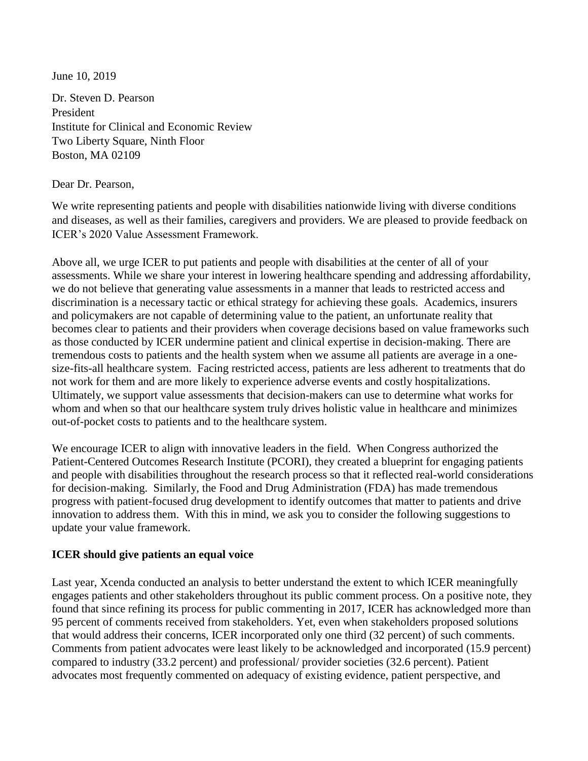June 10, 2019

Dr. Steven D. Pearson President Institute for Clinical and Economic Review Two Liberty Square, Ninth Floor Boston, MA 02109

Dear Dr. Pearson,

We write representing patients and people with disabilities nationwide living with diverse conditions and diseases, as well as their families, caregivers and providers. We are pleased to provide feedback on ICER's 2020 Value Assessment Framework.

Above all, we urge ICER to put patients and people with disabilities at the center of all of your assessments. While we share your interest in lowering healthcare spending and addressing affordability, we do not believe that generating value assessments in a manner that leads to restricted access and discrimination is a necessary tactic or ethical strategy for achieving these goals. Academics, insurers and policymakers are not capable of determining value to the patient, an unfortunate reality that becomes clear to patients and their providers when coverage decisions based on value frameworks such as those conducted by ICER undermine patient and clinical expertise in decision-making. There are tremendous costs to patients and the health system when we assume all patients are average in a onesize-fits-all healthcare system. Facing restricted access, patients are less adherent to treatments that do not work for them and are more likely to experience adverse events and costly hospitalizations. Ultimately, we support value assessments that decision-makers can use to determine what works for whom and when so that our healthcare system truly drives holistic value in healthcare and minimizes out-of-pocket costs to patients and to the healthcare system.

We encourage ICER to align with innovative leaders in the field. When Congress authorized the Patient-Centered Outcomes Research Institute (PCORI), they created a blueprint for engaging patients and people with disabilities throughout the research process so that it reflected real-world considerations for decision-making. Similarly, the Food and Drug Administration (FDA) has made tremendous progress with patient-focused drug development to identify outcomes that matter to patients and drive innovation to address them. With this in mind, we ask you to consider the following suggestions to update your value framework.

#### **ICER should give patients an equal voice**

Last year, Xcenda conducted an analysis to better understand the extent to which ICER meaningfully engages patients and other stakeholders throughout its public comment process. On a positive note, they found that since refining its process for public commenting in 2017, ICER has acknowledged more than 95 percent of comments received from stakeholders. Yet, even when stakeholders proposed solutions that would address their concerns, ICER incorporated only one third (32 percent) of such comments. Comments from patient advocates were least likely to be acknowledged and incorporated (15.9 percent) compared to industry (33.2 percent) and professional/ provider societies (32.6 percent). Patient advocates most frequently commented on adequacy of existing evidence, patient perspective, and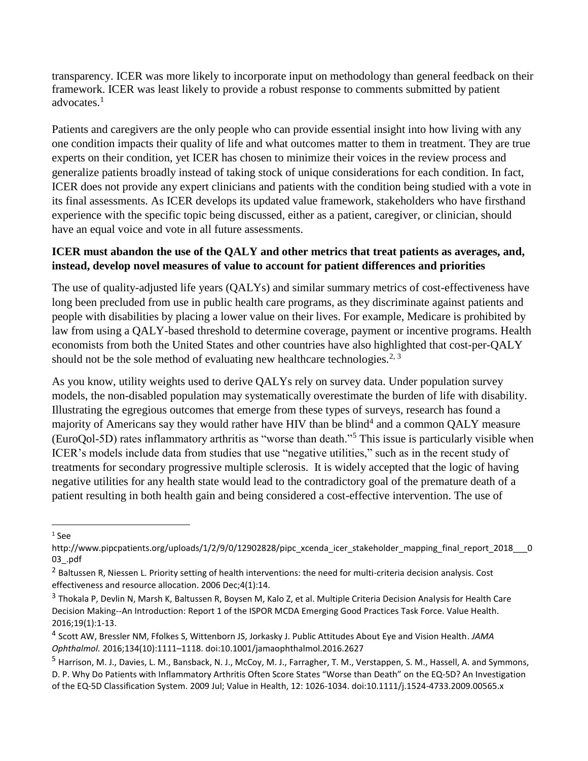transparency. ICER was more likely to incorporate input on methodology than general feedback on their framework. ICER was least likely to provide a robust response to comments submitted by patient advocates.<sup>1</sup>

Patients and caregivers are the only people who can provide essential insight into how living with any one condition impacts their quality of life and what outcomes matter to them in treatment. They are true experts on their condition, yet ICER has chosen to minimize their voices in the review process and generalize patients broadly instead of taking stock of unique considerations for each condition. In fact, ICER does not provide any expert clinicians and patients with the condition being studied with a vote in its final assessments. As ICER develops its updated value framework, stakeholders who have firsthand experience with the specific topic being discussed, either as a patient, caregiver, or clinician, should have an equal voice and vote in all future assessments.

## **ICER must abandon the use of the QALY and other metrics that treat patients as averages, and, instead, develop novel measures of value to account for patient differences and priorities**

The use of quality-adjusted life years (QALYs) and similar summary metrics of cost-effectiveness have long been precluded from use in public health care programs, as they discriminate against patients and people with disabilities by placing a lower value on their lives. For example, Medicare is prohibited by law from using a QALY-based threshold to determine coverage, payment or incentive programs. Health economists from both the United States and other countries have also highlighted that cost-per-QALY should not be the sole method of evaluating new healthcare technologies.<sup>2, 3</sup>

As you know, utility weights used to derive QALYs rely on survey data. Under population survey models, the non-disabled population may systematically overestimate the burden of life with disability. Illustrating the egregious outcomes that emerge from these types of surveys, research has found a majority of Americans say they would rather have HIV than be blind<sup>4</sup> and a common QALY measure (EuroQol-5D) rates inflammatory arthritis as "worse than death."<sup>5</sup> This issue is particularly visible when ICER's models include data from studies that use "negative utilities," such as in the recent study of treatments for secondary progressive multiple sclerosis. It is widely accepted that the logic of having negative utilities for any health state would lead to the contradictory goal of the premature death of a patient resulting in both health gain and being considered a cost-effective intervention. The use of

l

 $1$  See

http://www.pipcpatients.org/uploads/1/2/9/0/12902828/pipc\_xcenda\_icer\_stakeholder\_mapping\_final\_report\_2018\_\_\_0 03\_.pdf

<sup>&</sup>lt;sup>2</sup> Baltussen R, Niessen L. Priority setting of health interventions: the need for multi-criteria decision analysis. Cost effectiveness and resource allocation. 2006 Dec;4(1):14.

<sup>&</sup>lt;sup>3</sup> Thokala P, Devlin N, Marsh K, Baltussen R, Boysen M, Kalo Z, et al. Multiple Criteria Decision Analysis for Health Care Decision Making--An Introduction: Report 1 of the ISPOR MCDA Emerging Good Practices Task Force. Value Health. 2016;19(1):1-13.

<sup>4</sup> Scott AW, Bressler NM, Ffolkes S, Wittenborn JS, Jorkasky J. Public Attitudes About Eye and Vision Health. *JAMA Ophthalmol.* 2016;134(10):1111–1118. doi:10.1001/jamaophthalmol.2016.2627

<sup>5</sup> Harrison, M. J., Davies, L. M., Bansback, N. J., McCoy, M. J., Farragher, T. M., Verstappen, S. M., Hassell, A. and Symmons, D. P. Why Do Patients with Inflammatory Arthritis Often Score States "Worse than Death" on the EQ‐5D? An Investigation of the EQ‐5D Classification System. 2009 Jul; Value in Health, 12: 1026-1034. doi:10.1111/j.1524-4733.2009.00565.x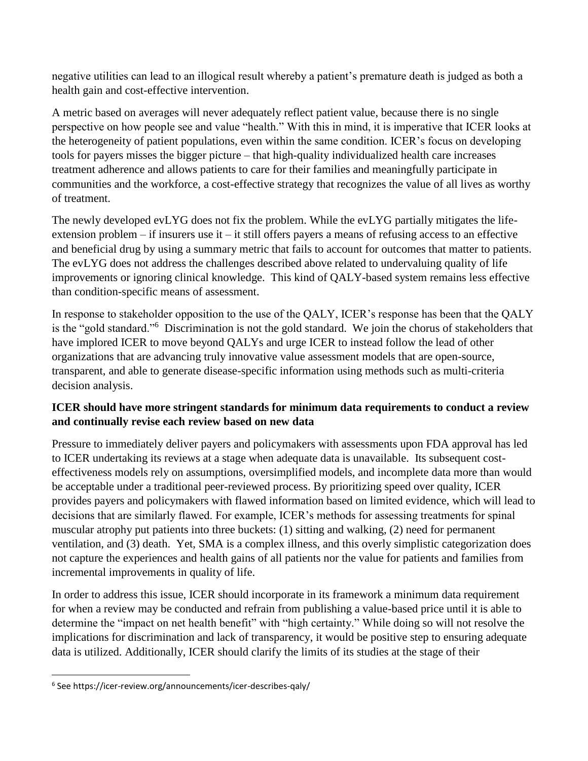negative utilities can lead to an illogical result whereby a patient's premature death is judged as both a health gain and cost-effective intervention.

A metric based on averages will never adequately reflect patient value, because there is no single perspective on how people see and value "health." With this in mind, it is imperative that ICER looks at the heterogeneity of patient populations, even within the same condition. ICER's focus on developing tools for payers misses the bigger picture – that high-quality individualized health care increases treatment adherence and allows patients to care for their families and meaningfully participate in communities and the workforce, a cost-effective strategy that recognizes the value of all lives as worthy of treatment.

The newly developed evLYG does not fix the problem. While the evLYG partially mitigates the lifeextension problem – if insurers use it – it still offers payers a means of refusing access to an effective and beneficial drug by using a summary metric that fails to account for outcomes that matter to patients. The evLYG does not address the challenges described above related to undervaluing quality of life improvements or ignoring clinical knowledge. This kind of QALY-based system remains less effective than condition-specific means of assessment.

In response to stakeholder opposition to the use of the QALY, ICER's response has been that the QALY is the "gold standard."<sup>6</sup> Discrimination is not the gold standard. We join the chorus of stakeholders that have implored ICER to move beyond QALYs and urge ICER to instead follow the lead of other organizations that are advancing truly innovative value assessment models that are open-source, transparent, and able to generate disease-specific information using methods such as multi-criteria decision analysis.

## **ICER should have more stringent standards for minimum data requirements to conduct a review and continually revise each review based on new data**

Pressure to immediately deliver payers and policymakers with assessments upon FDA approval has led to ICER undertaking its reviews at a stage when adequate data is unavailable. Its subsequent costeffectiveness models rely on assumptions, oversimplified models, and incomplete data more than would be acceptable under a traditional peer-reviewed process. By prioritizing speed over quality, ICER provides payers and policymakers with flawed information based on limited evidence, which will lead to decisions that are similarly flawed. For example, ICER's methods for assessing treatments for spinal muscular atrophy put patients into three buckets: (1) sitting and walking, (2) need for permanent ventilation, and (3) death. Yet, SMA is a complex illness, and this overly simplistic categorization does not capture the experiences and health gains of all patients nor the value for patients and families from incremental improvements in quality of life.

In order to address this issue, ICER should incorporate in its framework a minimum data requirement for when a review may be conducted and refrain from publishing a value-based price until it is able to determine the "impact on net health benefit" with "high certainty." While doing so will not resolve the implications for discrimination and lack of transparency, it would be positive step to ensuring adequate data is utilized. Additionally, ICER should clarify the limits of its studies at the stage of their

 $\overline{\phantom{a}}$ 

<sup>6</sup> See https://icer-review.org/announcements/icer-describes-qaly/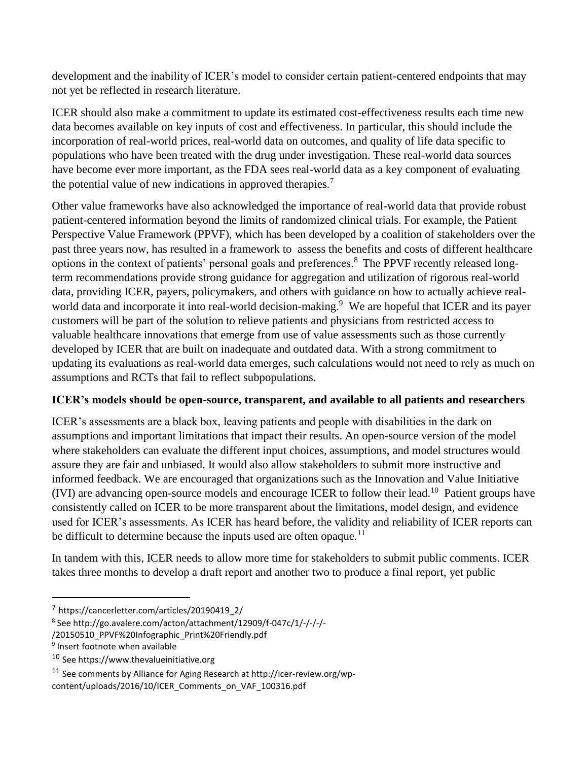development and the inability of ICER's model to consider certain patient-centered endpoints that may not yet be reflected in research literature.

ICER should also make a commitment to update its estimated cost-effectiveness results each time new data becomes available on key inputs of cost and effectiveness. In particular, this should include the incorporation of real-world prices, real-world data on outcomes, and quality of life data specific to populations who have been treated with the drug under investigation. These real-world data sources have become ever more important, as the FDA sees real-world data as a key component of evaluating the potential value of new indications in approved therapies.<sup>7</sup>

Other value frameworks have also acknowledged the importance of real-world data that provide robust patient-centered information beyond the limits of randomized clinical trials. For example, the Patient Perspective Value Framework (PPVF), which has been developed by a coalition of stakeholders over the past three years now, has resulted in a framework to assess the benefits and costs of different healthcare options in the context of patients' personal goals and preferences.<sup>8</sup> The PPVF recently released longterm recommendations provide strong guidance for aggregation and utilization of rigorous real-world data, providing ICER, payers, policymakers, and others with guidance on how to actually achieve realworld data and incorporate it into real-world decision-making.<sup>9</sup> We are hopeful that ICER and its payer customers will be part of the solution to relieve patients and physicians from restricted access to valuable healthcare innovations that emerge from use of value assessments such as those currently developed by ICER that are built on inadequate and outdated data. With a strong commitment to updating its evaluations as real-world data emerges, such calculations would not need to rely as much on assumptions and RCTs that fail to reflect subpopulations.

# **ICER's models should be open-source, transparent, and available to all patients and researchers**

ICER's assessments are a black box, leaving patients and people with disabilities in the dark on assumptions and important limitations that impact their results. An open-source version of the model where stakeholders can evaluate the different input choices, assumptions, and model structures would assure they are fair and unbiased. It would also allow stakeholders to submit more instructive and informed feedback. We are encouraged that organizations such as the Innovation and Value Initiative (IVI) are advancing open-source models and encourage ICER to follow their lead.<sup>10</sup> Patient groups have consistently called on ICER to be more transparent about the limitations, model design, and evidence used for ICER's assessments. As ICER has heard before, the validity and reliability of ICER reports can be difficult to determine because the inputs used are often opaque.<sup>11</sup>

In tandem with this, ICER needs to allow more time for stakeholders to submit public comments. ICER takes three months to develop a draft report and another two to produce a final report, yet public

l

<sup>7</sup> https://cancerletter.com/articles/20190419\_2/

<sup>&</sup>lt;sup>8</sup> See http://go.avalere.com/acton/attachment/12909/f-047c/1/-/-/-/-

<sup>/20150510</sup>\_PPVF%20Infographic\_Print%20Friendly.pdf

<sup>&</sup>lt;sup>9</sup> Insert footnote when available

<sup>10</sup> See https://www.thevalueinitiative.org

<sup>11</sup> See comments by Alliance for Aging Research at http://icer-review.org/wp-

content/uploads/2016/10/ICER\_Comments\_on\_VAF\_100316.pdf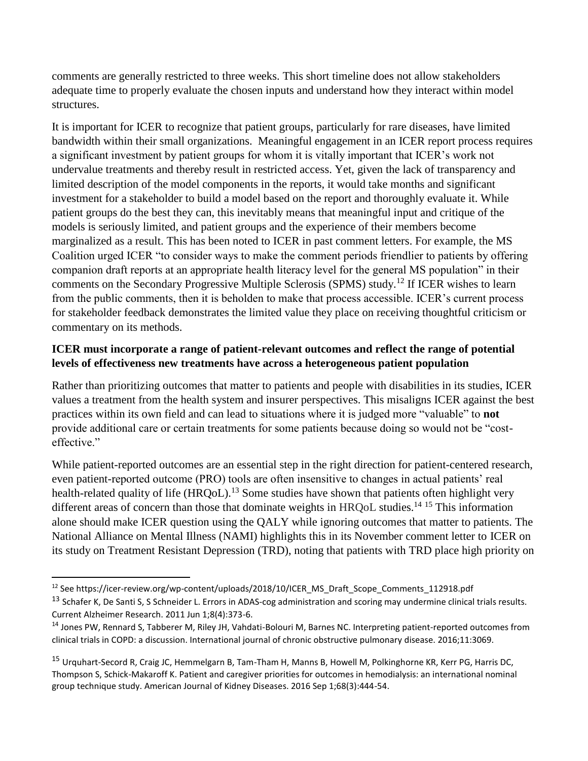comments are generally restricted to three weeks. This short timeline does not allow stakeholders adequate time to properly evaluate the chosen inputs and understand how they interact within model structures.

It is important for ICER to recognize that patient groups, particularly for rare diseases, have limited bandwidth within their small organizations. Meaningful engagement in an ICER report process requires a significant investment by patient groups for whom it is vitally important that ICER's work not undervalue treatments and thereby result in restricted access. Yet, given the lack of transparency and limited description of the model components in the reports, it would take months and significant investment for a stakeholder to build a model based on the report and thoroughly evaluate it. While patient groups do the best they can, this inevitably means that meaningful input and critique of the models is seriously limited, and patient groups and the experience of their members become marginalized as a result. This has been noted to ICER in past comment letters. For example, the MS Coalition urged ICER "to consider ways to make the comment periods friendlier to patients by offering companion draft reports at an appropriate health literacy level for the general MS population" in their comments on the Secondary Progressive Multiple Sclerosis (SPMS) study.<sup>12</sup> If ICER wishes to learn from the public comments, then it is beholden to make that process accessible. ICER's current process for stakeholder feedback demonstrates the limited value they place on receiving thoughtful criticism or commentary on its methods.

## **ICER must incorporate a range of patient-relevant outcomes and reflect the range of potential levels of effectiveness new treatments have across a heterogeneous patient population**

Rather than prioritizing outcomes that matter to patients and people with disabilities in its studies, ICER values a treatment from the health system and insurer perspectives. This misaligns ICER against the best practices within its own field and can lead to situations where it is judged more "valuable" to **not** provide additional care or certain treatments for some patients because doing so would not be "costeffective."

While patient-reported outcomes are an essential step in the right direction for patient-centered research, even patient-reported outcome (PRO) tools are often insensitive to changes in actual patients' real health-related quality of life (HRQoL).<sup>13</sup> Some studies have shown that patients often highlight very different areas of concern than those that dominate weights in HRQoL studies.<sup>14 15</sup> This information alone should make ICER question using the QALY while ignoring outcomes that matter to patients. The National Alliance on Mental Illness (NAMI) highlights this in its November comment letter to ICER on its study on Treatment Resistant Depression (TRD), noting that patients with TRD place high priority on

 $\overline{a}$ <sup>12</sup> See https://icer-review.org/wp-content/uploads/2018/10/ICER\_MS\_Draft\_Scope\_Comments\_112918.pdf

<sup>&</sup>lt;sup>13</sup> Schafer K, De Santi S, S Schneider L. Errors in ADAS-cog administration and scoring may undermine clinical trials results. Current Alzheimer Research. 2011 Jun 1;8(4):373-6.

<sup>14</sup> Jones PW, Rennard S, Tabberer M, Riley JH, Vahdati-Bolouri M, Barnes NC. Interpreting patient-reported outcomes from clinical trials in COPD: a discussion. International journal of chronic obstructive pulmonary disease. 2016;11:3069.

<sup>15</sup> Urquhart-Secord R, Craig JC, Hemmelgarn B, Tam-Tham H, Manns B, Howell M, Polkinghorne KR, Kerr PG, Harris DC, Thompson S, Schick-Makaroff K. Patient and caregiver priorities for outcomes in hemodialysis: an international nominal group technique study. American Journal of Kidney Diseases. 2016 Sep 1;68(3):444-54.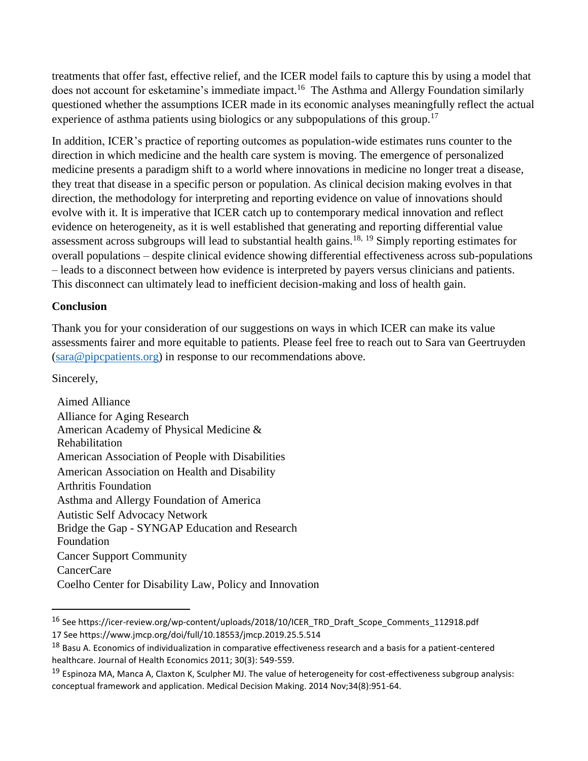treatments that offer fast, effective relief, and the ICER model fails to capture this by using a model that does not account for esketamine's immediate impact.<sup>16</sup> The Asthma and Allergy Foundation similarly questioned whether the assumptions ICER made in its economic analyses meaningfully reflect the actual experience of asthma patients using biologics or any subpopulations of this group.<sup>17</sup>

In addition, ICER's practice of reporting outcomes as population-wide estimates runs counter to the direction in which medicine and the health care system is moving. The emergence of personalized medicine presents a paradigm shift to a world where innovations in medicine no longer treat a disease, they treat that disease in a specific person or population. As clinical decision making evolves in that direction, the methodology for interpreting and reporting evidence on value of innovations should evolve with it. It is imperative that ICER catch up to contemporary medical innovation and reflect evidence on heterogeneity, as it is well established that generating and reporting differential value assessment across subgroups will lead to substantial health gains.<sup>18, 19</sup> Simply reporting estimates for overall populations – despite clinical evidence showing differential effectiveness across sub-populations – leads to a disconnect between how evidence is interpreted by payers versus clinicians and patients. This disconnect can ultimately lead to inefficient decision-making and loss of health gain.

#### **Conclusion**

Thank you for your consideration of our suggestions on ways in which ICER can make its value assessments fairer and more equitable to patients. Please feel free to reach out to Sara van Geertruyden [\(sara@pipcpatients.org\)](mailto:sara@pipcpatients.org) in response to our recommendations above.

Sincerely,

 $\overline{\phantom{a}}$ 

Aimed Alliance Alliance for Aging Research American Academy of Physical Medicine & Rehabilitation American Association of People with Disabilities American Association on Health and Disability Arthritis Foundation Asthma and Allergy Foundation of America Autistic Self Advocacy Network Bridge the Gap - SYNGAP Education and Research Foundation Cancer Support Community CancerCare Coelho Center for Disability Law, Policy and Innovation

<sup>16</sup> See https://icer-review.org/wp-content/uploads/2018/10/ICER\_TRD\_Draft\_Scope\_Comments\_112918.pdf 17 See https://www.jmcp.org/doi/full/10.18553/jmcp.2019.25.5.514

<sup>&</sup>lt;sup>18</sup> Basu A. Economics of individualization in comparative effectiveness research and a basis for a patient-centered healthcare. Journal of Health Economics 2011; 30(3): 549-559.

 $19$  Espinoza MA, Manca A, Claxton K, Sculpher MJ. The value of heterogeneity for cost-effectiveness subgroup analysis: conceptual framework and application. Medical Decision Making. 2014 Nov;34(8):951-64.